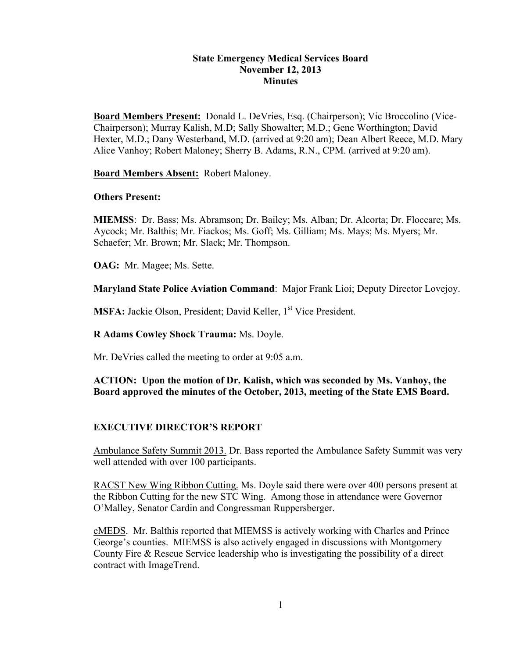#### **State Emergency Medical Services Board November 12, 2013 Minutes**

**Board Members Present:** Donald L. DeVries, Esq. (Chairperson); Vic Broccolino (Vice-Chairperson); Murray Kalish, M.D; Sally Showalter; M.D.; Gene Worthington; David Hexter, M.D.; Dany Westerband, M.D. (arrived at 9:20 am); Dean Albert Reece, M.D. Mary Alice Vanhoy; Robert Maloney; Sherry B. Adams, R.N., CPM. (arrived at 9:20 am).

**Board Members Absent:** Robert Maloney.

#### **Others Present:**

**MIEMSS**: Dr. Bass; Ms. Abramson; Dr. Bailey; Ms. Alban; Dr. Alcorta; Dr. Floccare; Ms. Aycock; Mr. Balthis; Mr. Fiackos; Ms. Goff; Ms. Gilliam; Ms. Mays; Ms. Myers; Mr. Schaefer; Mr. Brown; Mr. Slack; Mr. Thompson.

**OAG:** Mr. Magee; Ms. Sette.

**Maryland State Police Aviation Command**: Major Frank Lioi; Deputy Director Lovejoy.

**MSFA:** Jackie Olson, President; David Keller, 1<sup>st</sup> Vice President.

**R Adams Cowley Shock Trauma:** Ms. Doyle.

Mr. DeVries called the meeting to order at 9:05 a.m.

**ACTION: Upon the motion of Dr. Kalish, which was seconded by Ms. Vanhoy, the Board approved the minutes of the October, 2013, meeting of the State EMS Board.**

# **EXECUTIVE DIRECTOR'S REPORT**

Ambulance Safety Summit 2013. Dr. Bass reported the Ambulance Safety Summit was very well attended with over 100 participants.

RACST New Wing Ribbon Cutting. Ms. Doyle said there were over 400 persons present at the Ribbon Cutting for the new STC Wing. Among those in attendance were Governor O'Malley, Senator Cardin and Congressman Ruppersberger.

eMEDS. Mr. Balthis reported that MIEMSS is actively working with Charles and Prince George's counties. MIEMSS is also actively engaged in discussions with Montgomery County Fire & Rescue Service leadership who is investigating the possibility of a direct contract with ImageTrend.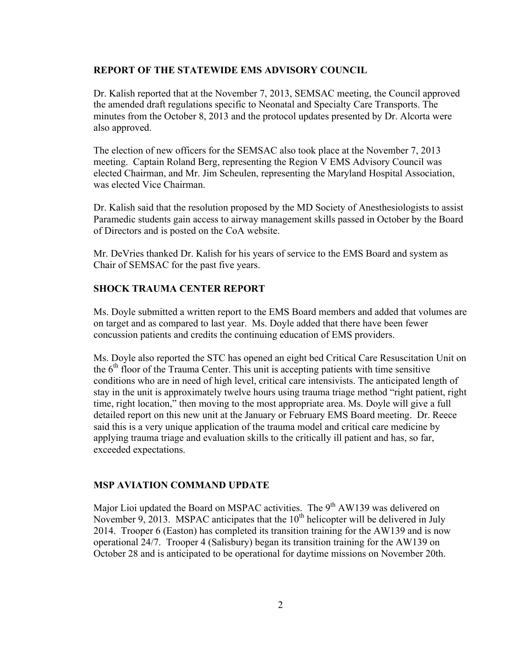#### **REPORT OF THE STATEWIDE EMS ADVISORY COUNCIL**

Dr. Kalish reported that at the November 7, 2013, SEMSAC meeting, the Council approved the amended draft regulations specific to Neonatal and Specialty Care Transports. The minutes from the October 8, 2013 and the protocol updates presented by Dr. Alcorta were also approved.

The election of new officers for the SEMSAC also took place at the November 7, 2013 meeting. Captain Roland Berg, representing the Region V EMS Advisory Council was elected Chairman, and Mr. Jim Scheulen, representing the Maryland Hospital Association, was elected Vice Chairman.

Dr. Kalish said that the resolution proposed by the MD Society of Anesthesiologists to assist Paramedic students gain access to airway management skills passed in October by the Board of Directors and is posted on the CoA website.

Mr. DeVries thanked Dr. Kalish for his years of service to the EMS Board and system as Chair of SEMSAC for the past five years.

#### **SHOCK TRAUMA CENTER REPORT**

Ms. Doyle submitted a written report to the EMS Board members and added that volumes are on target and as compared to last year. Ms. Doyle added that there have been fewer concussion patients and credits the continuing education of EMS providers.

Ms. Doyle also reported the STC has opened an eight bed Critical Care Resuscitation Unit on the  $6<sup>th</sup>$  floor of the Trauma Center. This unit is accepting patients with time sensitive conditions who are in need of high level, critical care intensivists. The anticipated length of stay in the unit is approximately twelve hours using trauma triage method "right patient, right time, right location," then moving to the most appropriate area. Ms. Doyle will give a full detailed report on this new unit at the January or February EMS Board meeting. Dr. Reece said this is a very unique application of the trauma model and critical care medicine by applying trauma triage and evaluation skills to the critically ill patient and has, so far, exceeded expectations.

# **MSP AVIATION COMMAND UPDATE**

Major Lioi updated the Board on MSPAC activities. The  $9<sup>th</sup>$  AW139 was delivered on November 9, 2013. MSPAC anticipates that the  $10<sup>th</sup>$  helicopter will be delivered in July 2014. Trooper 6 (Easton) has completed its transition training for the AW139 and is now operational 24/7. Trooper 4 (Salisbury) began its transition training for the AW139 on October 28 and is anticipated to be operational for daytime missions on November 20th.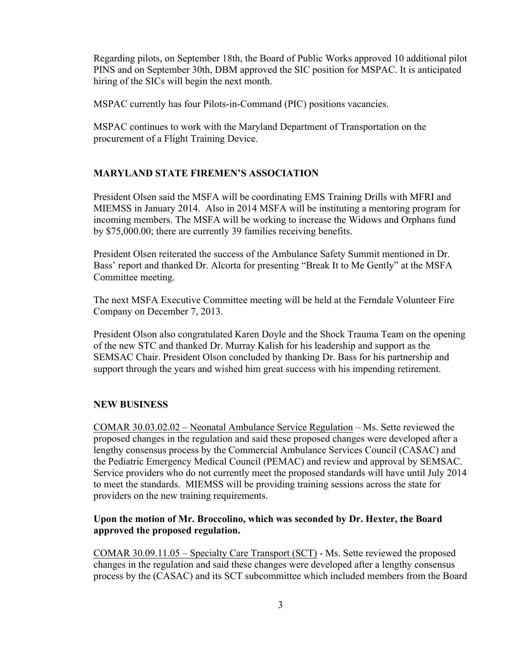Regarding pilots, on September 18th, the Board of Public Works approved 10 additional pilot PINS and on September 30th, DBM approved the SIC position for MSPAC. It is anticipated hiring of the SICs will begin the next month.

MSPAC currently has four Pilots-in-Command (PIC) positions vacancies.

MSPAC continues to work with the Maryland Department of Transportation on the procurement of a Flight Training Device.

# **MARYLAND STATE FIREMEN'S ASSOCIATION**

President Olsen said the MSFA will be coordinating EMS Training Drills with MFRI and MIEMSS in January 2014. Also in 2014 MSFA will be instituting a mentoring program for incoming members. The MSFA will be working to increase the Widows and Orphans fund by \$75,000.00; there are currently 39 families receiving benefits.

President Olsen reiterated the success of the Ambulance Safety Summit mentioned in Dr. Bass' report and thanked Dr. Alcorta for presenting "Break It to Me Gently" at the MSFA Committee meeting.

The next MSFA Executive Committee meeting will be held at the Ferndale Volunteer Fire Company on December 7, 2013.

President Olson also congratulated Karen Doyle and the Shock Trauma Team on the opening of the new STC and thanked Dr. Murray Kalish for his leadership and support as the SEMSAC Chair. President Olson concluded by thanking Dr. Bass for his partnership and support through the years and wished him great success with his impending retirement.

# **NEW BUSINESS**

COMAR 30.03.02.02 – Neonatal Ambulance Service Regulation – Ms. Sette reviewed the proposed changes in the regulation and said these proposed changes were developed after a lengthy consensus process by the Commercial Ambulance Services Council (CASAC) and the Pediatric Emergency Medical Council (PEMAC) and review and approval by SEMSAC. Service providers who do not currently meet the proposed standards will have until July 2014 to meet the standards. MIEMSS will be providing training sessions across the state for providers on the new training requirements.

# **Upon the motion of Mr. Broccolino, which was seconded by Dr. Hexter, the Board approved the proposed regulation.**

COMAR 30.09.11.05 – Specialty Care Transport (SCT) - Ms. Sette reviewed the proposed changes in the regulation and said these changes were developed after a lengthy consensus process by the (CASAC) and its SCT subcommittee which included members from the Board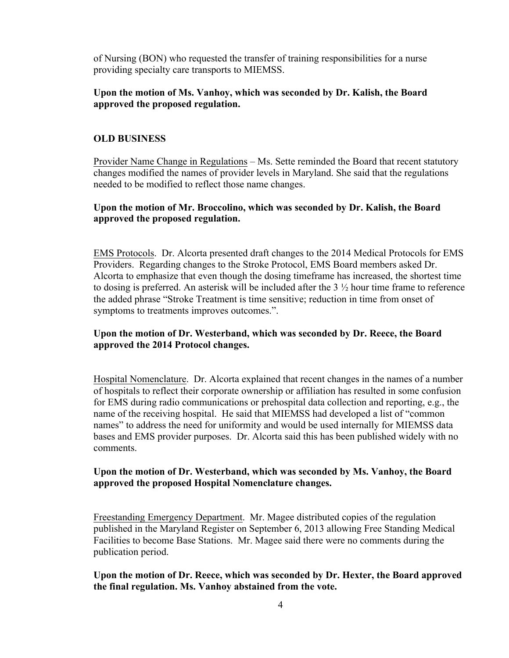of Nursing (BON) who requested the transfer of training responsibilities for a nurse providing specialty care transports to MIEMSS.

### **Upon the motion of Ms. Vanhoy, which was seconded by Dr. Kalish, the Board approved the proposed regulation.**

### **OLD BUSINESS**

Provider Name Change in Regulations – Ms. Sette reminded the Board that recent statutory changes modified the names of provider levels in Maryland. She said that the regulations needed to be modified to reflect those name changes.

### **Upon the motion of Mr. Broccolino, which was seconded by Dr. Kalish, the Board approved the proposed regulation.**

EMS Protocols. Dr. Alcorta presented draft changes to the 2014 Medical Protocols for EMS Providers. Regarding changes to the Stroke Protocol, EMS Board members asked Dr. Alcorta to emphasize that even though the dosing timeframe has increased, the shortest time to dosing is preferred. An asterisk will be included after the 3 ½ hour time frame to reference the added phrase "Stroke Treatment is time sensitive; reduction in time from onset of symptoms to treatments improves outcomes.".

# **Upon the motion of Dr. Westerband, which was seconded by Dr. Reece, the Board approved the 2014 Protocol changes.**

Hospital Nomenclature. Dr. Alcorta explained that recent changes in the names of a number of hospitals to reflect their corporate ownership or affiliation has resulted in some confusion for EMS during radio communications or prehospital data collection and reporting, e.g., the name of the receiving hospital. He said that MIEMSS had developed a list of "common names" to address the need for uniformity and would be used internally for MIEMSS data bases and EMS provider purposes. Dr. Alcorta said this has been published widely with no comments.

#### **Upon the motion of Dr. Westerband, which was seconded by Ms. Vanhoy, the Board approved the proposed Hospital Nomenclature changes.**

Freestanding Emergency Department. Mr. Magee distributed copies of the regulation published in the Maryland Register on September 6, 2013 allowing Free Standing Medical Facilities to become Base Stations. Mr. Magee said there were no comments during the publication period.

**Upon the motion of Dr. Reece, which was seconded by Dr. Hexter, the Board approved the final regulation. Ms. Vanhoy abstained from the vote.**